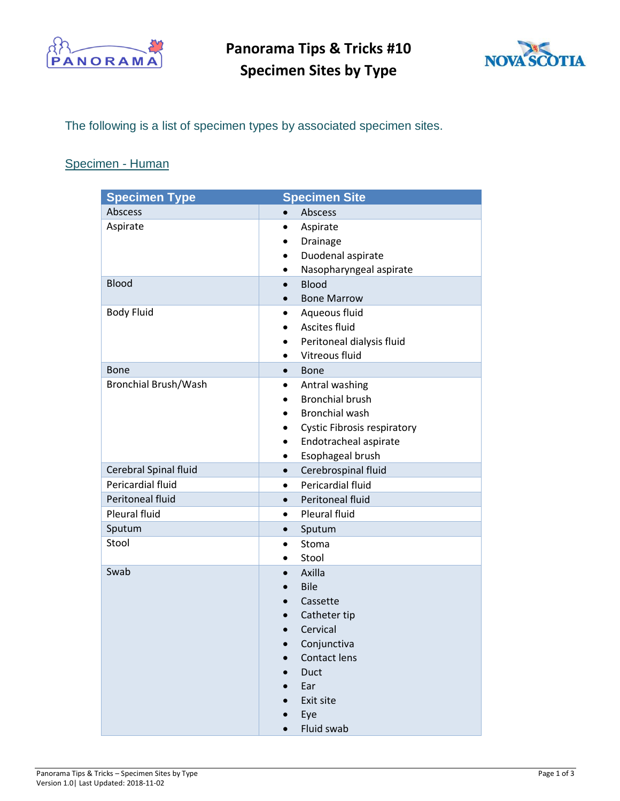

**Panorama Tips & Tricks #10 Specimen Sites by Type**



The following is a list of specimen types by associated specimen sites.

## Specimen - Human

| <b>Specimen Type</b>  |           | <b>Specimen Site</b>               |
|-----------------------|-----------|------------------------------------|
| Abscess               | $\bullet$ | Abscess                            |
| Aspirate              | ٠         | Aspirate                           |
|                       | ٠         | Drainage                           |
|                       |           | Duodenal aspirate                  |
|                       |           | Nasopharyngeal aspirate            |
| <b>Blood</b>          | $\bullet$ | <b>Blood</b>                       |
|                       |           | <b>Bone Marrow</b>                 |
| <b>Body Fluid</b>     | $\bullet$ | Aqueous fluid                      |
|                       |           | Ascites fluid                      |
|                       |           | Peritoneal dialysis fluid          |
|                       | $\bullet$ | Vitreous fluid                     |
| <b>Bone</b>           | $\bullet$ | <b>Bone</b>                        |
| Bronchial Brush/Wash  | ٠         | Antral washing                     |
|                       |           | <b>Bronchial brush</b>             |
|                       |           | <b>Bronchial wash</b>              |
|                       |           | <b>Cystic Fibrosis respiratory</b> |
|                       | $\bullet$ | Endotracheal aspirate              |
|                       | ٠         | Esophageal brush                   |
| Cerebral Spinal fluid | $\bullet$ | Cerebrospinal fluid                |
| Pericardial fluid     | $\bullet$ | Pericardial fluid                  |
| Peritoneal fluid      | $\bullet$ | Peritoneal fluid                   |
| Pleural fluid         | $\bullet$ | Pleural fluid                      |
| Sputum                | $\bullet$ | Sputum                             |
| Stool                 | $\bullet$ | Stoma                              |
|                       |           | Stool                              |
| Swab                  |           | Axilla                             |
|                       | $\bullet$ | <b>Bile</b>                        |
|                       |           | Cassette                           |
|                       |           | Catheter tip                       |
|                       |           | Cervical                           |
|                       |           | Conjunctiva                        |
|                       |           | Contact lens                       |
|                       |           | Duct                               |
|                       |           | Ear                                |
|                       |           | Exit site                          |
|                       | $\bullet$ | Eye                                |
|                       |           | Fluid swab                         |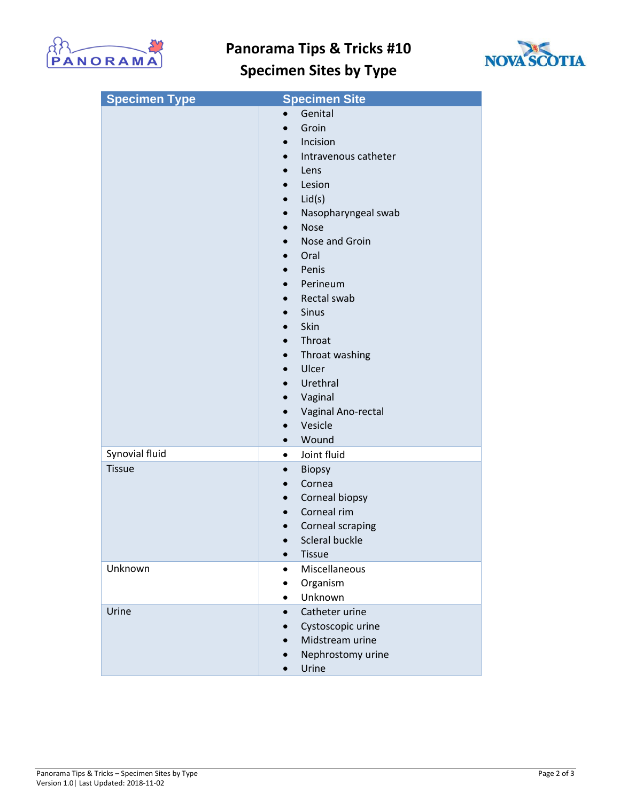

## **Panorama Tips & Tricks #10**



## **Specimen Sites by Type**

| <b>Specimen Type</b> | <b>Specimen Site</b>              |
|----------------------|-----------------------------------|
|                      | Genital                           |
|                      | Groin<br>$\bullet$                |
|                      | Incision<br>$\bullet$             |
|                      | Intravenous catheter<br>$\bullet$ |
|                      | Lens<br>$\bullet$                 |
|                      | Lesion                            |
|                      | Lid(s)                            |
|                      | Nasopharyngeal swab<br>$\bullet$  |
|                      | <b>Nose</b><br>$\bullet$          |
|                      | Nose and Groin                    |
|                      | Oral<br>$\bullet$                 |
|                      | Penis                             |
|                      | Perineum                          |
|                      | Rectal swab<br>$\bullet$          |
|                      | <b>Sinus</b><br>$\bullet$         |
|                      | Skin                              |
|                      | Throat<br>$\bullet$               |
|                      | Throat washing<br>$\bullet$       |
|                      | Ulcer                             |
|                      | Urethral<br>$\bullet$             |
|                      | Vaginal<br>$\bullet$              |
|                      | Vaginal Ano-rectal                |
|                      | Vesicle<br>$\bullet$              |
|                      | Wound<br>$\bullet$                |
| Synovial fluid       | Joint fluid<br>$\bullet$          |
| <b>Tissue</b>        | <b>Biopsy</b><br>$\bullet$        |
|                      | Cornea<br>$\bullet$               |
|                      | Corneal biopsy<br>$\bullet$       |
|                      | Corneal rim<br>$\bullet$          |
|                      | Corneal scraping                  |
|                      | Scleral buckle<br>$\bullet$       |
|                      | <b>Tissue</b><br>$\bullet$        |
| Unknown              | Miscellaneous                     |
|                      | Organism<br>٠                     |
|                      | Unknown<br>$\bullet$              |
| Urine                | Catheter urine<br>$\bullet$       |
|                      | Cystoscopic urine                 |
|                      | Midstream urine                   |
|                      | Nephrostomy urine                 |
|                      | Urine<br>$\bullet$                |